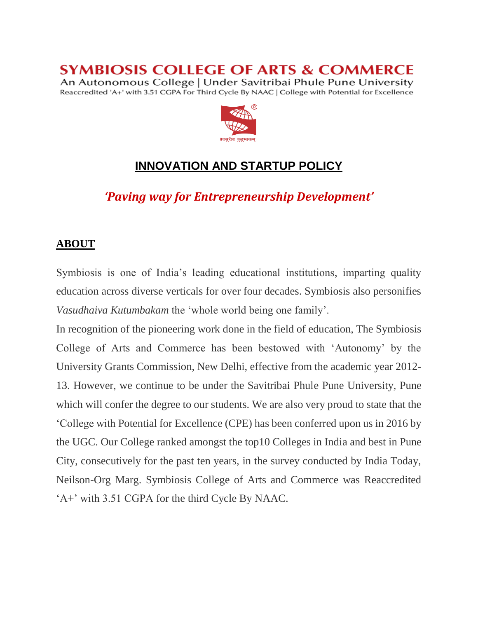**SYMBIOSIS COLLEGE OF ARTS & COMMERCE** 

An Autonomous College | Under Savitribai Phule Pune University Reaccredited 'A+' with 3.51 CGPA For Third Cycle By NAAC | College with Potential for Excellence



# **INNOVATION AND STARTUP POLICY**

*'Paving way for Entrepreneurship Development'*

#### **ABOUT**

Symbiosis is one of India's leading educational institutions, imparting quality education across diverse verticals for over four decades. Symbiosis also personifies *Vasudhaiva Kutumbakam* the 'whole world being one family'.

In recognition of the pioneering work done in the field of education, The Symbiosis College of Arts and Commerce has been bestowed with 'Autonomy' by the University Grants Commission, New Delhi, effective from the academic year 2012- 13. However, we continue to be under the Savitribai Phule Pune University, Pune which will confer the degree to our students. We are also very proud to state that the 'College with Potential for Excellence (CPE) has been conferred upon us in 2016 by the UGC. Our College ranked amongst the top10 Colleges in India and best in Pune City, consecutively for the past ten years, in the survey conducted by India Today, Neilson-Org Marg. Symbiosis College of Arts and Commerce was Reaccredited 'A+' with 3.51 CGPA for the third Cycle By NAAC.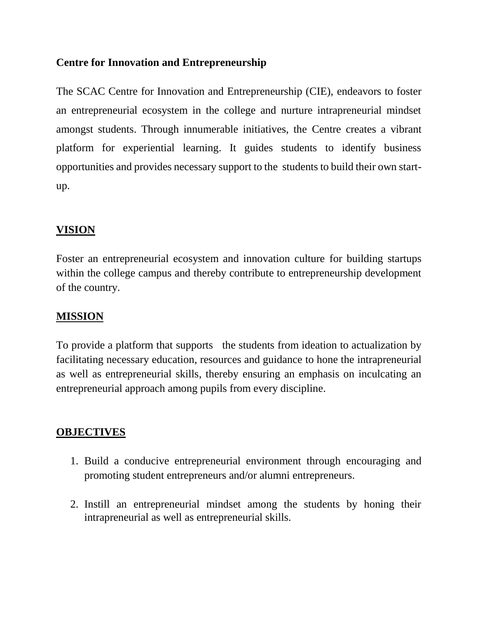#### **Centre for Innovation and Entrepreneurship**

The SCAC Centre for Innovation and Entrepreneurship (CIE), endeavors to foster an entrepreneurial ecosystem in the college and nurture intrapreneurial mindset amongst students. Through innumerable initiatives, the Centre creates a vibrant platform for experiential learning. It guides students to identify business opportunities and provides necessary support to the students to build their own startup.

### **VISION**

Foster an entrepreneurial ecosystem and innovation culture for building startups within the college campus and thereby contribute to entrepreneurship development of the country.

### **MISSION**

To provide a platform that supports the students from ideation to actualization by facilitating necessary education, resources and guidance to hone the intrapreneurial as well as entrepreneurial skills, thereby ensuring an emphasis on inculcating an entrepreneurial approach among pupils from every discipline.

### **OBJECTIVES**

- 1. Build a conducive entrepreneurial environment through encouraging and promoting student entrepreneurs and/or alumni entrepreneurs.
- 2. Instill an entrepreneurial mindset among the students by honing their intrapreneurial as well as entrepreneurial skills.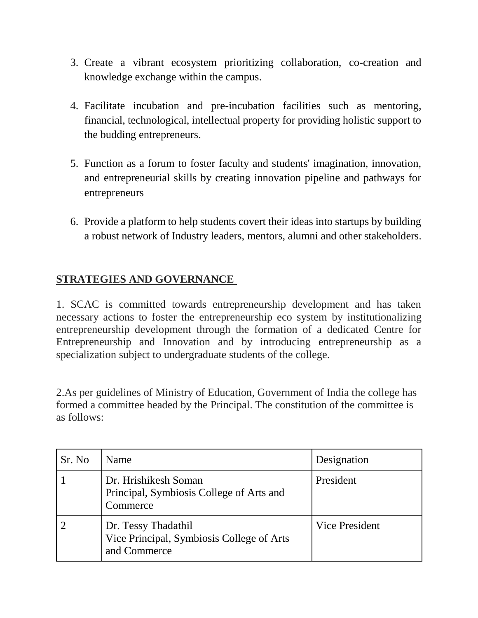- 3. Create a vibrant ecosystem prioritizing collaboration, co-creation and knowledge exchange within the campus.
- 4. Facilitate incubation and pre-incubation facilities such as mentoring, financial, technological, intellectual property for providing holistic support to the budding entrepreneurs.
- 5. Function as a forum to foster faculty and students' imagination, innovation, and entrepreneurial skills by creating innovation pipeline and pathways for entrepreneurs
- 6. Provide a platform to help students covert their ideas into startups by building a robust network of Industry leaders, mentors, alumni and other stakeholders.

# **STRATEGIES AND GOVERNANCE**

1. SCAC is committed towards entrepreneurship development and has taken necessary actions to foster the entrepreneurship eco system by institutionalizing entrepreneurship development through the formation of a dedicated Centre for Entrepreneurship and Innovation and by introducing entrepreneurship as a specialization subject to undergraduate students of the college.

2.As per guidelines of Ministry of Education, Government of India the college has formed a committee headed by the Principal. The constitution of the committee is as follows:

| Sr. No | Name                                                                             | Designation           |
|--------|----------------------------------------------------------------------------------|-----------------------|
|        | Dr. Hrishikesh Soman<br>Principal, Symbiosis College of Arts and<br>Commerce     | President             |
|        | Dr. Tessy Thadathil<br>Vice Principal, Symbiosis College of Arts<br>and Commerce | <b>Vice President</b> |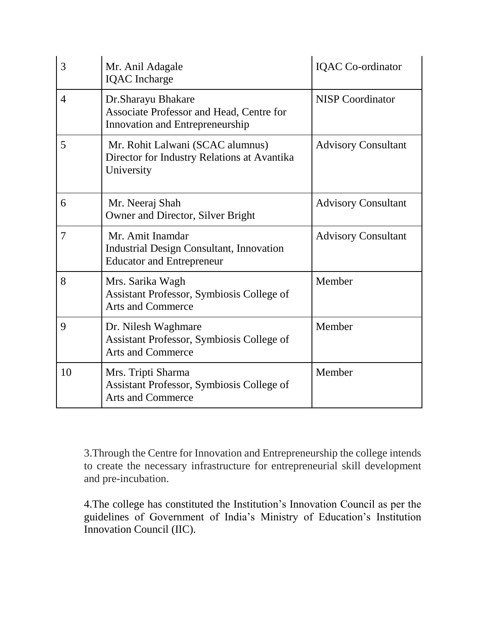| 3              | Mr. Anil Adagale<br><b>IQAC</b> Incharge                                                                | <b>IQAC</b> Co-ordinator   |
|----------------|---------------------------------------------------------------------------------------------------------|----------------------------|
| $\overline{4}$ | Dr.Sharayu Bhakare<br>Associate Professor and Head, Centre for<br>Innovation and Entrepreneurship       | <b>NISP</b> Coordinator    |
| 5              | Mr. Rohit Lalwani (SCAC alumnus)<br>Director for Industry Relations at Avantika<br>University           | <b>Advisory Consultant</b> |
| 6              | Mr. Neeraj Shah<br>Owner and Director, Silver Bright                                                    | <b>Advisory Consultant</b> |
| $\overline{7}$ | Mr. Amit Inamdar<br><b>Industrial Design Consultant, Innovation</b><br><b>Educator and Entrepreneur</b> | <b>Advisory Consultant</b> |
| 8              | Mrs. Sarika Wagh<br>Assistant Professor, Symbiosis College of<br><b>Arts and Commerce</b>               | Member                     |
| 9              | Dr. Nilesh Waghmare<br>Assistant Professor, Symbiosis College of<br><b>Arts and Commerce</b>            | Member                     |
| 10             | Mrs. Tripti Sharma<br>Assistant Professor, Symbiosis College of<br><b>Arts and Commerce</b>             | Member                     |

3.Through the Centre for Innovation and Entrepreneurship the college intends to create the necessary infrastructure for entrepreneurial skill development and pre-incubation.

4.The college has constituted the Institution's Innovation Council as per the guidelines of Government of India's Ministry of Education's Institution Innovation Council (IIC).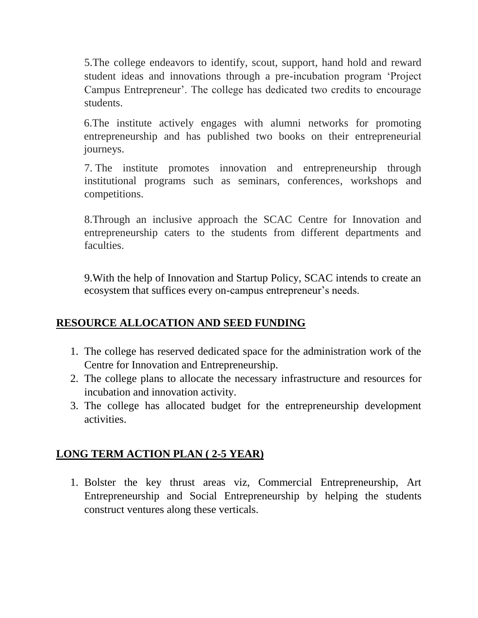5.The college endeavors to identify, scout, support, hand hold and reward student ideas and innovations through a pre-incubation program 'Project Campus Entrepreneur'. The college has dedicated two credits to encourage students.

6.The institute actively engages with alumni networks for promoting entrepreneurship and has published two books on their entrepreneurial journeys.

7. The institute promotes innovation and entrepreneurship through institutional programs such as seminars, conferences, workshops and competitions.

8.Through an inclusive approach the SCAC Centre for Innovation and entrepreneurship caters to the students from different departments and faculties.

9.With the help of Innovation and Startup Policy, SCAC intends to create an ecosystem that suffices every on-campus entrepreneur's needs.

# **RESOURCE ALLOCATION AND SEED FUNDING**

- 1. The college has reserved dedicated space for the administration work of the Centre for Innovation and Entrepreneurship.
- 2. The college plans to allocate the necessary infrastructure and resources for incubation and innovation activity.
- 3. The college has allocated budget for the entrepreneurship development activities.

# **LONG TERM ACTION PLAN ( 2-5 YEAR)**

1. Bolster the key thrust areas viz, Commercial Entrepreneurship, Art Entrepreneurship and Social Entrepreneurship by helping the students construct ventures along these verticals.